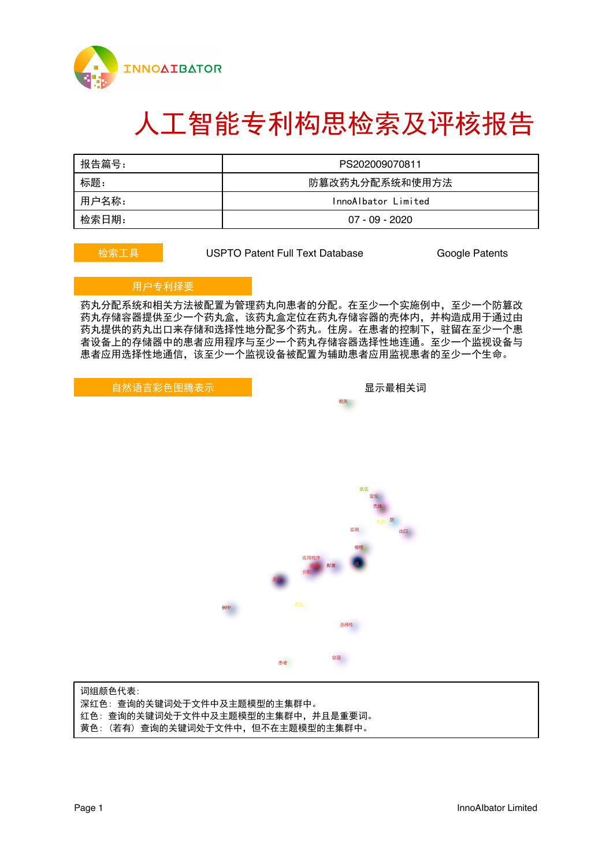

# 人工智能专利构思检索及评核报告

| 报告篇号: | PS202009070811      |
|-------|---------------------|
| 标题:   | 防篡改药丸分配系统和使用方法      |
| 用户名称: | InnoAlbator Limited |
| 检索日期: | 07 - 09 - 2020      |

**检索工具 USPTO Patent Full Text Database Google Patents** 

### 用户专利择要

药丸分配系统和相关方法被配置为管理药丸向患者的分配。在至少一个实施例中,至少一个防篡改 药丸存储容器提供至少一个药丸盒,该药丸盒定位在药丸存储容器的壳体内,并构造成用于通过由 药丸提供的药丸出口来存储和选择性地分配多个药丸。住房。在患者的控制下,驻留在至少一个患 者设备上的存储器中的患者应用程序与至少一个药丸存储容器选择性地连通。至少一个监视设备与 患者应用选择性地通信,该至少一个监视设备被配置为辅助患者应用监视患者的至少一个生命。

自然语言彩色图腾表示 网络罗斯科 医二乙二醇 人名米利夫 计数据 医心包炎 医心包炎 医心包炎

相关



词组颜色 代表: 深红 色: 查询的关键词处于文件中及主题模型的主集群中。 红 色: 查询的关键词处于文件中及主题模型的主集群中,并且是重要词。 黄 色: (若有) 查询的关键词处于文件中,但不在主题模型的主集群中。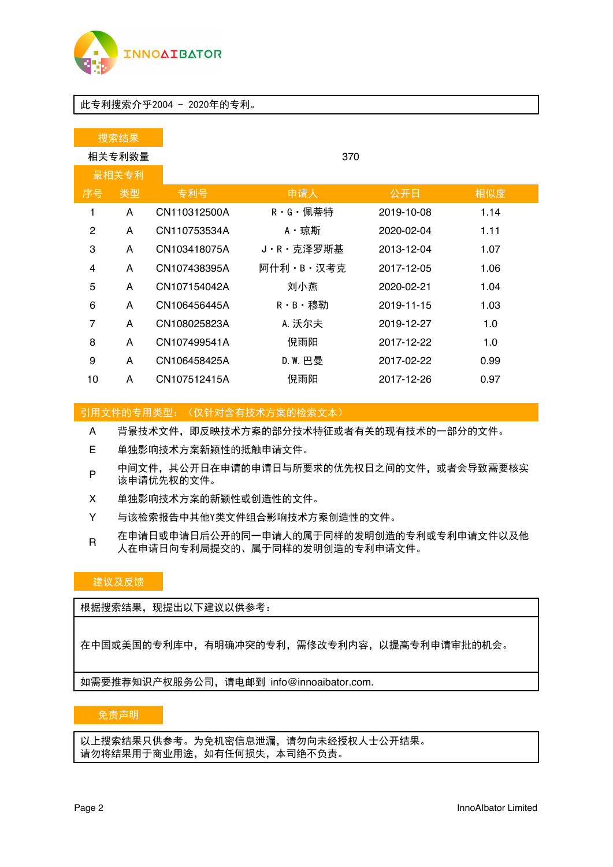

### 此专利搜索介乎2004 - 2020年的专利。

|        | 搜索结果 |              |           |            |      |  |  |  |
|--------|------|--------------|-----------|------------|------|--|--|--|
| 相关专利数量 |      |              | 370       |            |      |  |  |  |
| 最相关专利  |      |              |           |            |      |  |  |  |
| 序号     | 类型   | 专利号          | 申请人       | 公开日        | 相似度  |  |  |  |
| 1      | A    | CN110312500A | R・G・佩蒂特   | 2019-10-08 | 1.14 |  |  |  |
| 2      | A    | CN110753534A | A・琼斯      | 2020-02-04 | 1.11 |  |  |  |
| 3      | A    | CN103418075A | J・R・克泽罗斯基 | 2013-12-04 | 1.07 |  |  |  |
| 4      | A    | CN107438395A | 阿什利·B·汉考克 | 2017-12-05 | 1.06 |  |  |  |
| 5      | A    | CN107154042A | 刘小燕       | 2020-02-21 | 1.04 |  |  |  |
| 6      | A    | CN106456445A | R・B・穆勒    | 2019-11-15 | 1.03 |  |  |  |
| 7      | A    | CN108025823A | A. 沃尔夫    | 2019-12-27 | 1.0  |  |  |  |
| 8      | A    | CN107499541A | 倪雨阳       | 2017-12-22 | 1.0  |  |  |  |
| 9      | A    | CN106458425A | D. W. E.  | 2017-02-22 | 0.99 |  |  |  |
| 10     | A    | CN107512415A | 倪雨阳       | 2017-12-26 | 0.97 |  |  |  |

引用文件的专用类型:(仅针对含有技术方案的检索文本)

A ‡的专用类型:(仅针对含有技术方案的检索文本)<br>背景技术文件,即反映技术方案的部分技术特征或者有关的现有技术的一部分的文件。

- E 单独影响技术方案新颖性的抵触申请文件。
- P 中间文件,其公开日在申请的申请日与所要求的优先权日之间的文件,或者会导致需要核实 该申请优先权的文件。
- X 单独影响技术方案的新颖性或创造性的文件。
- Y 与该检索报告中其他Y类文件组合影响技术方案创造性的文件。
- \_\_\_\_\_\_在申请日或申请日后公开的同一申请人的属于同样的发明创造的专利或专利申请文件以及他\_\_\_\_\_\_\_\_\_\_\_\_\_\_\_\_\_\_\_\_\_\_\_\_\_\_\_\_<br>R\_\_\_\_\_\_人在申请日向专利局提交的、属于同样的发明创造的专利申请文件。 在申请日或申请日后公开的同一申请人的属于同样的发明创造的专利或专<br>人在申请日向专利局提交的、属于同样的发明创造的专利申请文件。

### 建议及反馈

根据搜索结果,现提出以下建议以供参考:

在中国或美国的专利库中,有明确冲突的专利,需修改专利内容,以提高专利申请审批的机会。

如需要推荐知识产权服务公司,请电邮到info@innoaibator.com.

### 免责声明

以上搜索结果只供参考。为免机密信息泄漏,请勿向未经授权人士公开结果。 请勿将结果用于商业用途,如有任何损失,本司绝不负责。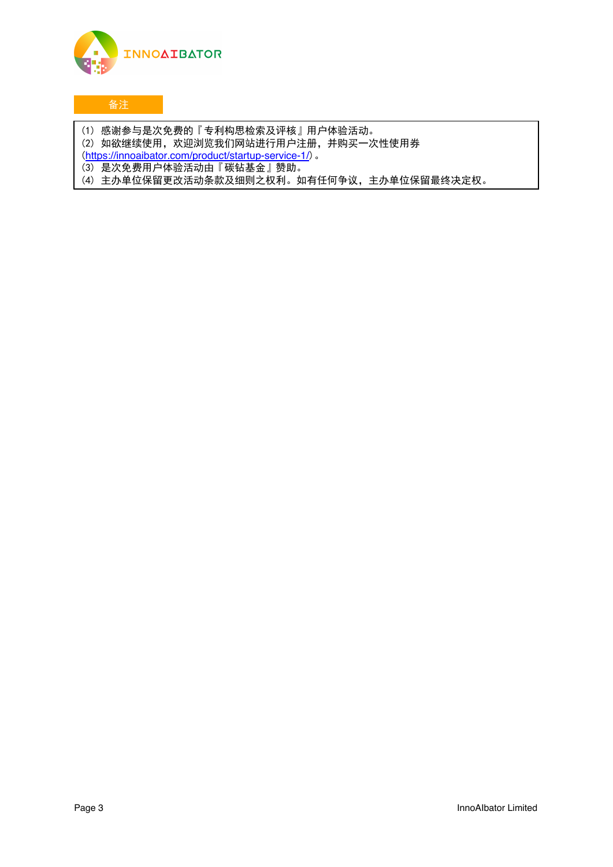

## 备注

- (1) 感谢参与是次免费的『专利构思检索及评核』用户体验活动。
- (2) 如欲继续使用,欢迎浏览我们网站进行用户注册,并购买一次性使用券
- (<https://innoaibator.com/product/startup-service-1/>)。
- (3) 是次免费用户体验活动由『碳钻基金』赞助。
- (4) 主办单位保留更改活动条款及细则之权利。如有任何争议,主办单位保留最终决定权。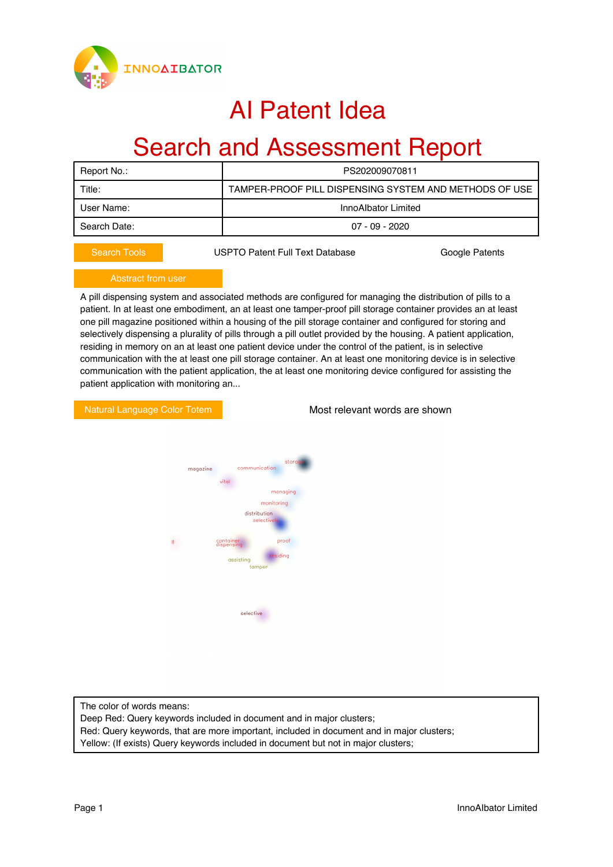

## AI Patent Idea

## Search and Assessment Report

| Report No.:  | PS202009070811                                         |  |  |
|--------------|--------------------------------------------------------|--|--|
| Title:       | TAMPER-PROOF PILL DISPENSING SYSTEM AND METHODS OF USE |  |  |
| User Name:   | InnoAlbator Limited                                    |  |  |
| Search Date: | $07 - 09 - 2020$                                       |  |  |
|              |                                                        |  |  |

Search Tools **Concerned Concerned USPTO Patent Full Text Database** Google Patents

A pill dispensing system and associated methods are configured for managing the distribution of pills to a patient. In at least one embodiment, an at least one tamper-proof pill storage container provides an at least one pill magazine positioned within a housing of the pill storage container and configured for storing and selectively dispensing a plurality of pills through a pill outlet provided by the housing. A patient application, residing in memory on an at least one patient device under the control of the patient, is in selective communication with the at least one pill storage container. An at least one monitoring device is in selective communication with the patient application, the at least one monitoring device configured for assisting the patient application with monitoring an...

Natural Language Color Totem **Most relevant words are shown** 



The color of words means:

Deep Red: Query keywords included in document and in major clusters;

Red: Query keywords, that are more important, included in document and in major clusters;

Yellow: (If exists) Query keywords included in document but not in major clusters;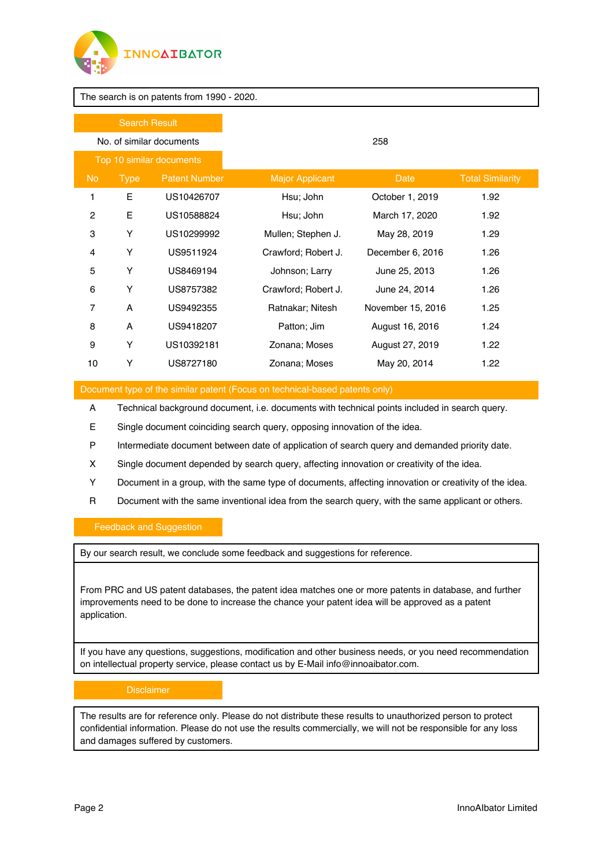

The search is on patents from 1990 - 2020.

| <b>Search Result</b>     |             |                      |                        |                   |                         |  |
|--------------------------|-------------|----------------------|------------------------|-------------------|-------------------------|--|
| No. of similar documents |             |                      | 258                    |                   |                         |  |
| Top 10 similar documents |             |                      |                        |                   |                         |  |
| No.                      | <b>Type</b> | <b>Patent Number</b> | <b>Major Applicant</b> | Date              | <b>Total Similarity</b> |  |
| 1                        | E           | US10426707           | Hsu; John              | October 1, 2019   | 1.92                    |  |
| 2                        | Ε           | US10588824           | Hsu; John              | March 17, 2020    | 1.92                    |  |
| 3                        | Υ           | US10299992           | Mullen; Stephen J.     | May 28, 2019      | 1.29                    |  |
| 4                        | Υ           | US9511924            | Crawford; Robert J.    | December 6, 2016  | 1.26                    |  |
| 5                        | Υ           | US8469194            | Johnson; Larry         | June 25, 2013     | 1.26                    |  |
| 6                        | Υ           | US8757382            | Crawford; Robert J.    | June 24, 2014     | 1.26                    |  |
| 7                        | A           | US9492355            | Ratnakar; Nitesh       | November 15, 2016 | 1.25                    |  |
| 8                        | A           | US9418207            | Patton; Jim            | August 16, 2016   | 1.24                    |  |
| 9                        | Υ           | US10392181           | Zonana; Moses          | August 27, 2019   | 1.22                    |  |
| 10                       | Y           | US8727180            | Zonana; Moses          | May 20, 2014      | 1.22                    |  |
|                          |             |                      |                        |                   |                         |  |

Document type of the similar patent (Focus on technical-based patents only)

- A Technical background document, i.e. documents with technical points included in search query.
- E Single document coinciding search query, opposing innovation of the idea.
- P Intermediate document between date of application of search query and demanded priority date.
- X Single document depended by search query, affecting innovation or creativity of the idea.
- Y Document in a group, with the same type of documents, affecting innovation or creativity of the idea.
- R Document with the same inventional idea from the search query, with the same applicant or others.

### Feedback and Suggestion

By our search result, we conclude some feedback and suggestions for reference.

From PRC and US patent databases, the patent idea matches one or more patents in database, and further improvements need to be done to increase the chance your patent idea will be approved as a patent application.

If you have any questions, suggestions, modification and other business needs, or you need recommendation on intellectual property service, please contact us by E-Mail info@innoaibator.com.

The results are for reference only. Please do not distribute these results to unauthorized person to protect confidential information. Please do not use the results commercially, we will not be responsible for any loss and damages suffered by customers.